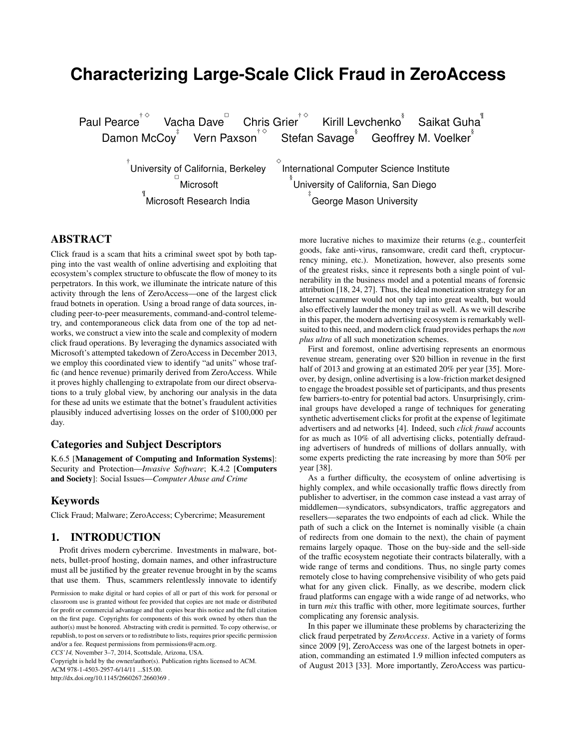# **Characterizing Large-Scale Click Fraud in ZeroAccess**

Paul Pearce<sup>†</sup> Vacha Dave<sup>n</sup> Chris Grier  $^{\dagger \, \diamond \,}$  Kirill Levchenko $^{\mathring{\text{\rm{s}}}}$  Saikat Guha $^{\mathring{\text{\rm{f}}}}$ Damon McCoy $^\ddag$   $\;\;$  Vern Paxson $^\dagger\,^\diamond$ Stefan Savage<sup>§</sup> Geoffrey M. Voelker<sup>§</sup>

 $\Diamond$ 

 $^\dagger$ University of California, Berkeley Microsoft ¶ Microsoft Research India

International Computer Science Institute § University of California, San Diego ‡ George Mason University

# ABSTRACT

Click fraud is a scam that hits a criminal sweet spot by both tapping into the vast wealth of online advertising and exploiting that ecosystem's complex structure to obfuscate the flow of money to its perpetrators. In this work, we illuminate the intricate nature of this activity through the lens of ZeroAccess—one of the largest click fraud botnets in operation. Using a broad range of data sources, including peer-to-peer measurements, command-and-control telemetry, and contemporaneous click data from one of the top ad networks, we construct a view into the scale and complexity of modern click fraud operations. By leveraging the dynamics associated with Microsoft's attempted takedown of ZeroAccess in December 2013, we employ this coordinated view to identify "ad units" whose traffic (and hence revenue) primarily derived from ZeroAccess. While it proves highly challenging to extrapolate from our direct observations to a truly global view, by anchoring our analysis in the data for these ad units we estimate that the botnet's fraudulent activities plausibly induced advertising losses on the order of \$100,000 per day.

#### Categories and Subject Descriptors

K.6.5 [Management of Computing and Information Systems]: Security and Protection—*Invasive Software*; K.4.2 [Computers and Society]: Social Issues—*Computer Abuse and Crime*

#### Keywords

Click Fraud; Malware; ZeroAccess; Cybercrime; Measurement

# 1. INTRODUCTION

Profit drives modern cybercrime. Investments in malware, botnets, bullet-proof hosting, domain names, and other infrastructure must all be justified by the greater revenue brought in by the scams that use them. Thus, scammers relentlessly innovate to identify

Copyright is held by the owner/author(s). Publication rights licensed to ACM.

ACM 978-1-4503-2957-6/14/11 ...\$15.00.

http://dx.doi.org/10.1145/2660267.2660369 .

more lucrative niches to maximize their returns (e.g., counterfeit goods, fake anti-virus, ransomware, credit card theft, cryptocurrency mining, etc.). Monetization, however, also presents some of the greatest risks, since it represents both a single point of vulnerability in the business model and a potential means of forensic attribution [18, 24, 27]. Thus, the ideal monetization strategy for an Internet scammer would not only tap into great wealth, but would also effectively launder the money trail as well. As we will describe in this paper, the modern advertising ecosystem is remarkably wellsuited to this need, and modern click fraud provides perhaps the *non plus ultra* of all such monetization schemes.

First and foremost, online advertising represents an enormous revenue stream, generating over \$20 billion in revenue in the first half of 2013 and growing at an estimated 20% per year [35]. Moreover, by design, online advertising is a low-friction market designed to engage the broadest possible set of participants, and thus presents few barriers-to-entry for potential bad actors. Unsurprisingly, criminal groups have developed a range of techniques for generating synthetic advertisement clicks for profit at the expense of legitimate advertisers and ad networks [4]. Indeed, such *click fraud* accounts for as much as 10% of all advertising clicks, potentially defrauding advertisers of hundreds of millions of dollars annually, with some experts predicting the rate increasing by more than 50% per year [38].

As a further difficulty, the ecosystem of online advertising is highly complex, and while occasionally traffic flows directly from publisher to advertiser, in the common case instead a vast array of middlemen—syndicators, subsyndicators, traffic aggregators and resellers—separates the two endpoints of each ad click. While the path of such a click on the Internet is nominally visible (a chain of redirects from one domain to the next), the chain of payment remains largely opaque. Those on the buy-side and the sell-side of the traffic ecosystem negotiate their contracts bilaterally, with a wide range of terms and conditions. Thus, no single party comes remotely close to having comprehensive visibility of who gets paid what for any given click. Finally, as we describe, modern click fraud platforms can engage with a wide range of ad networks, who in turn *mix* this traffic with other, more legitimate sources, further complicating any forensic analysis.

In this paper we illuminate these problems by characterizing the click fraud perpetrated by *ZeroAccess*. Active in a variety of forms since 2009 [9], ZeroAccess was one of the largest botnets in operation, commanding an estimated 1.9 million infected computers as of August 2013 [33]. More importantly, ZeroAccess was particu-

Permission to make digital or hard copies of all or part of this work for personal or classroom use is granted without fee provided that copies are not made or distributed for profit or commercial advantage and that copies bear this notice and the full citation on the first page. Copyrights for components of this work owned by others than the author(s) must be honored. Abstracting with credit is permitted. To copy otherwise, or republish, to post on servers or to redistribute to lists, requires prior specific permission and/or a fee. Request permissions from permissions@acm.org.

*CCS'14,* November 3–7, 2014, Scottsdale, Arizona, USA.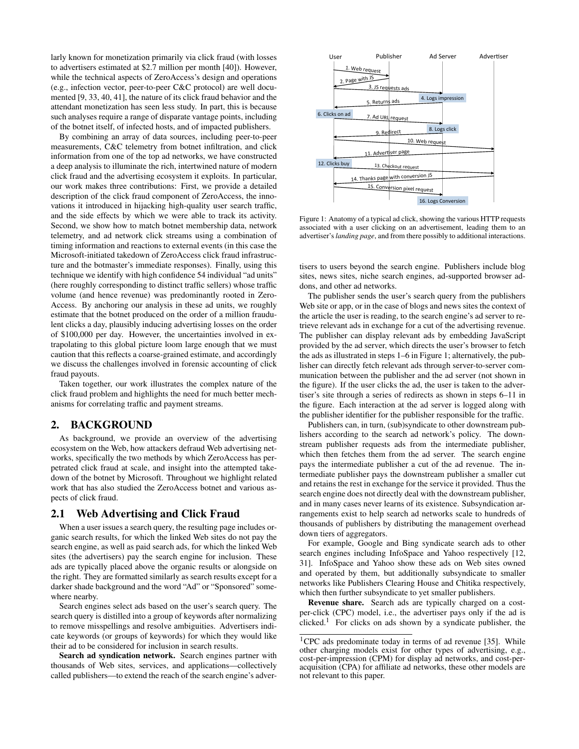larly known for monetization primarily via click fraud (with losses to advertisers estimated at \$2.7 million per month [40]). However, while the technical aspects of ZeroAccess's design and operations (e.g., infection vector, peer-to-peer C&C protocol) are well documented [9, 33, 40, 41], the nature of its click fraud behavior and the attendant monetization has seen less study. In part, this is because such analyses require a range of disparate vantage points, including of the botnet itself, of infected hosts, and of impacted publishers.

By combining an array of data sources, including peer-to-peer measurements, C&C telemetry from botnet infiltration, and click information from one of the top ad networks, we have constructed a deep analysis to illuminate the rich, intertwined nature of modern click fraud and the advertising ecosystem it exploits. In particular, our work makes three contributions: First, we provide a detailed description of the click fraud component of ZeroAccess, the innovations it introduced in hijacking high-quality user search traffic, and the side effects by which we were able to track its activity. Second, we show how to match botnet membership data, network telemetry, and ad network click streams using a combination of timing information and reactions to external events (in this case the Microsoft-initiated takedown of ZeroAccess click fraud infrastructure and the botmaster's immediate responses). Finally, using this technique we identify with high confidence 54 individual "ad units" (here roughly corresponding to distinct traffic sellers) whose traffic volume (and hence revenue) was predominantly rooted in Zero-Access. By anchoring our analysis in these ad units, we roughly estimate that the botnet produced on the order of a million fraudulent clicks a day, plausibly inducing advertising losses on the order of \$100,000 per day. However, the uncertainties involved in extrapolating to this global picture loom large enough that we must caution that this reflects a coarse-grained estimate, and accordingly we discuss the challenges involved in forensic accounting of click fraud payouts.

Taken together, our work illustrates the complex nature of the click fraud problem and highlights the need for much better mechanisms for correlating traffic and payment streams.

#### 2. BACKGROUND

As background, we provide an overview of the advertising ecosystem on the Web, how attackers defraud Web advertising networks, specifically the two methods by which ZeroAccess has perpetrated click fraud at scale, and insight into the attempted takedown of the botnet by Microsoft. Throughout we highlight related work that has also studied the ZeroAccess botnet and various aspects of click fraud.

#### 2.1 Web Advertising and Click Fraud

When a user issues a search query, the resulting page includes organic search results, for which the linked Web sites do not pay the search engine, as well as paid search ads, for which the linked Web sites (the advertisers) pay the search engine for inclusion. These ads are typically placed above the organic results or alongside on the right. They are formatted similarly as search results except for a darker shade background and the word "Ad" or "Sponsored" somewhere nearby.

Search engines select ads based on the user's search query. The search query is distilled into a group of keywords after normalizing to remove misspellings and resolve ambiguities. Advertisers indicate keywords (or groups of keywords) for which they would like their ad to be considered for inclusion in search results.

Search ad syndication network. Search engines partner with thousands of Web sites, services, and applications—collectively called publishers—to extend the reach of the search engine's adver-



Figure 1: Anatomy of a typical ad click, showing the various HTTP requests associated with a user clicking on an advertisement, leading them to an advertiser's*landing page*, and from there possibly to additional interactions.

tisers to users beyond the search engine. Publishers include blog sites, news sites, niche search engines, ad-supported browser addons, and other ad networks.

The publisher sends the user's search query from the publishers Web site or app, or in the case of blogs and news sites the context of the article the user is reading, to the search engine's ad server to retrieve relevant ads in exchange for a cut of the advertising revenue. The publisher can display relevant ads by embedding JavaScript provided by the ad server, which directs the user's browser to fetch the ads as illustrated in steps 1–6 in Figure 1; alternatively, the publisher can directly fetch relevant ads through server-to-server communication between the publisher and the ad server (not shown in the figure). If the user clicks the ad, the user is taken to the advertiser's site through a series of redirects as shown in steps 6–11 in the figure. Each interaction at the ad server is logged along with the publisher identifier for the publisher responsible for the traffic.

Publishers can, in turn, (sub)syndicate to other downstream publishers according to the search ad network's policy. The downstream publisher requests ads from the intermediate publisher, which then fetches them from the ad server. The search engine pays the intermediate publisher a cut of the ad revenue. The intermediate publisher pays the downstream publisher a smaller cut and retains the rest in exchange for the service it provided. Thus the search engine does not directly deal with the downstream publisher, and in many cases never learns of its existence. Subsyndication arrangements exist to help search ad networks scale to hundreds of thousands of publishers by distributing the management overhead down tiers of aggregators.

For example, Google and Bing syndicate search ads to other search engines including InfoSpace and Yahoo respectively [12, 31]. InfoSpace and Yahoo show these ads on Web sites owned and operated by them, but additionally subsyndicate to smaller networks like Publishers Clearing House and Chitika respectively, which then further subsyndicate to yet smaller publishers.

Revenue share. Search ads are typically charged on a costper-click (CPC) model, i.e., the advertiser pays only if the ad is clicked.<sup>1</sup> For clicks on ads shown by a syndicate publisher, the

<sup>&</sup>lt;sup>1</sup>CPC ads predominate today in terms of ad revenue [35]. While other charging models exist for other types of advertising, e.g., cost-per-impression (CPM) for display ad networks, and cost-peracquisition (CPA) for affiliate ad networks, these other models are not relevant to this paper.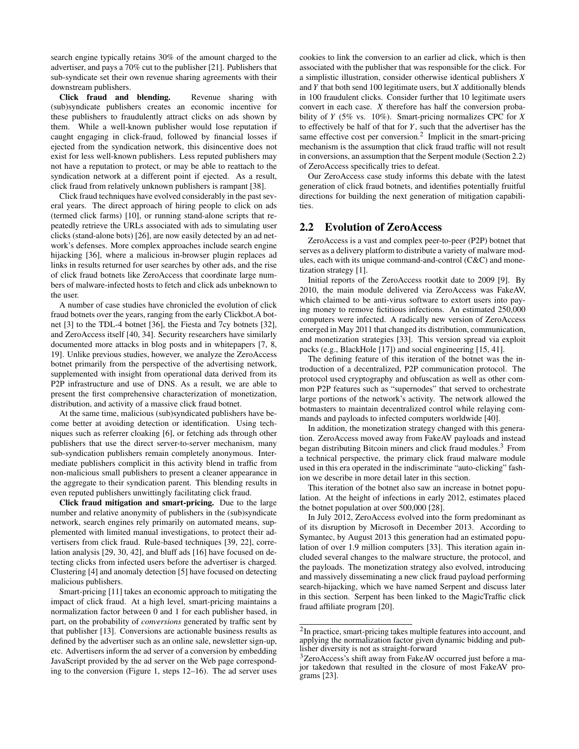search engine typically retains 30% of the amount charged to the advertiser, and pays a 70% cut to the publisher [21]. Publishers that sub-syndicate set their own revenue sharing agreements with their downstream publishers.

Click fraud and blending. Revenue sharing with (sub)syndicate publishers creates an economic incentive for these publishers to fraudulently attract clicks on ads shown by them. While a well-known publisher would lose reputation if caught engaging in click-fraud, followed by financial losses if ejected from the syndication network, this disincentive does not exist for less well-known publishers. Less reputed publishers may not have a reputation to protect, or may be able to reattach to the syndication network at a different point if ejected. As a result, click fraud from relatively unknown publishers is rampant [38].

Click fraud techniques have evolved considerably in the past several years. The direct approach of hiring people to click on ads (termed click farms) [10], or running stand-alone scripts that repeatedly retrieve the URLs associated with ads to simulating user clicks (stand-alone bots) [26], are now easily detected by an ad network's defenses. More complex approaches include search engine hijacking [36], where a malicious in-browser plugin replaces ad links in results returned for user searches by other ads, and the rise of click fraud botnets like ZeroAccess that coordinate large numbers of malware-infected hosts to fetch and click ads unbeknown to the user.

A number of case studies have chronicled the evolution of click fraud botnets over the years, ranging from the early Clickbot.A botnet [3] to the TDL-4 botnet [36], the Fiesta and 7cy botnets [32], and ZeroAccess itself [40, 34]. Security researchers have similarly documented more attacks in blog posts and in whitepapers [7, 8, 19]. Unlike previous studies, however, we analyze the ZeroAccess botnet primarily from the perspective of the advertising network, supplemented with insight from operational data derived from its P2P infrastructure and use of DNS. As a result, we are able to present the first comprehensive characterization of monetization, distribution, and activity of a massive click fraud botnet.

At the same time, malicious (sub)syndicated publishers have become better at avoiding detection or identification. Using techniques such as referrer cloaking [6], or fetching ads through other publishers that use the direct server-to-server mechanism, many sub-syndication publishers remain completely anonymous. Intermediate publishers complicit in this activity blend in traffic from non-malicious small publishers to present a cleaner appearance in the aggregate to their syndication parent. This blending results in even reputed publishers unwittingly facilitating click fraud.

Click fraud mitigation and smart-pricing. Due to the large number and relative anonymity of publishers in the (sub)syndicate network, search engines rely primarily on automated means, supplemented with limited manual investigations, to protect their advertisers from click fraud. Rule-based techniques [39, 22], correlation analysis [29, 30, 42], and bluff ads [16] have focused on detecting clicks from infected users before the advertiser is charged. Clustering [4] and anomaly detection [5] have focused on detecting malicious publishers.

Smart-pricing [11] takes an economic approach to mitigating the impact of click fraud. At a high level, smart-pricing maintains a normalization factor between 0 and 1 for each publisher based, in part, on the probability of *conversions* generated by traffic sent by that publisher [13]. Conversions are actionable business results as defined by the advertiser such as an online sale, newsletter sign-up, etc. Advertisers inform the ad server of a conversion by embedding JavaScript provided by the ad server on the Web page corresponding to the conversion (Figure 1, steps 12–16). The ad server uses

cookies to link the conversion to an earlier ad click, which is then associated with the publisher that was responsible for the click. For a simplistic illustration, consider otherwise identical publishers *X* and *Y* that both send 100 legitimate users, but *X* additionally blends in 100 fraudulent clicks. Consider further that 10 legitimate users convert in each case. *X* therefore has half the conversion probability of *Y* (5% vs. 10%). Smart-pricing normalizes CPC for *X* to effectively be half of that for *Y*, such that the advertiser has the same effective cost per conversion.<sup>2</sup> Implicit in the smart-pricing mechanism is the assumption that click fraud traffic will not result in conversions, an assumption that the Serpent module (Section 2.2) of ZeroAccess specifically tries to defeat.

Our ZeroAccess case study informs this debate with the latest generation of click fraud botnets, and identifies potentially fruitful directions for building the next generation of mitigation capabilities.

#### 2.2 Evolution of ZeroAccess

ZeroAccess is a vast and complex peer-to-peer (P2P) botnet that serves as a delivery platform to distribute a variety of malware modules, each with its unique command-and-control (C&C) and monetization strategy [1].

Initial reports of the ZeroAccess rootkit date to 2009 [9]. By 2010, the main module delivered via ZeroAccess was FakeAV, which claimed to be anti-virus software to extort users into paying money to remove fictitious infections. An estimated 250,000 computers were infected. A radically new version of ZeroAccess emerged in May 2011 that changed its distribution, communication, and monetization strategies [33]. This version spread via exploit packs (e.g., BlackHole [17]) and social engineering [15, 41].

The defining feature of this iteration of the botnet was the introduction of a decentralized, P2P communication protocol. The protocol used cryptography and obfuscation as well as other common P2P features such as "supernodes" that served to orchestrate large portions of the network's activity. The network allowed the botmasters to maintain decentralized control while relaying commands and payloads to infected computers worldwide [40].

In addition, the monetization strategy changed with this generation. ZeroAccess moved away from FakeAV payloads and instead began distributing Bitcoin miners and click fraud modules.<sup>3</sup> From a technical perspective, the primary click fraud malware module used in this era operated in the indiscriminate "auto-clicking" fashion we describe in more detail later in this section.

This iteration of the botnet also saw an increase in botnet population. At the height of infections in early 2012, estimates placed the botnet population at over 500,000 [28].

In July 2012, ZeroAccess evolved into the form predominant as of its disruption by Microsoft in December 2013. According to Symantec, by August 2013 this generation had an estimated population of over 1.9 million computers [33]. This iteration again included several changes to the malware structure, the protocol, and the payloads. The monetization strategy also evolved, introducing and massively disseminating a new click fraud payload performing search-hijacking, which we have named Serpent and discuss later in this section. Serpent has been linked to the MagicTraffic click fraud affiliate program [20].

 $2$ In practice, smart-pricing takes multiple features into account, and applying the normalization factor given dynamic bidding and publisher diversity is not as straight-forward

<sup>&</sup>lt;sup>3</sup>ZeroAccess's shift away from FakeAV occurred just before a major takedown that resulted in the closure of most FakeAV programs [23].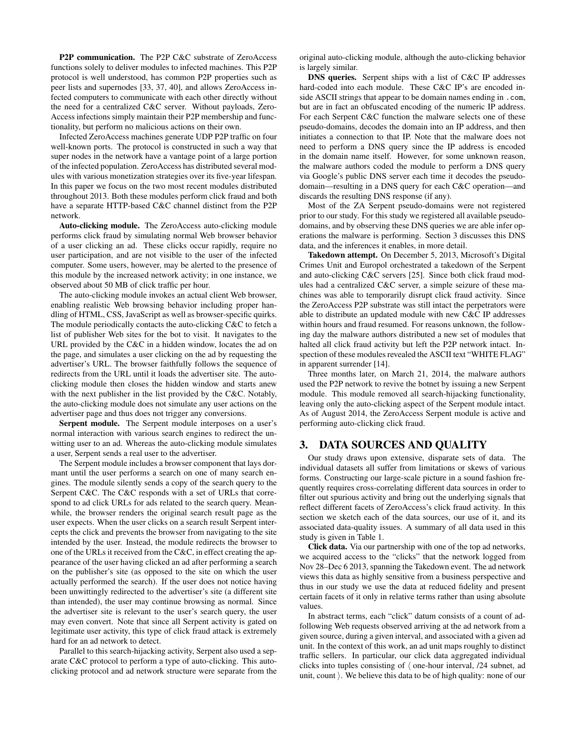P2P communication. The P2P C&C substrate of ZeroAccess functions solely to deliver modules to infected machines. This P2P protocol is well understood, has common P2P properties such as peer lists and supernodes [33, 37, 40], and allows ZeroAccess infected computers to communicate with each other directly without the need for a centralized C&C server. Without payloads, Zero-Access infections simply maintain their P2P membership and functionality, but perform no malicious actions on their own.

Infected ZeroAccess machines generate UDP P2P traffic on four well-known ports. The protocol is constructed in such a way that super nodes in the network have a vantage point of a large portion of the infected population. ZeroAccess has distributed several modules with various monetization strategies over its five-year lifespan. In this paper we focus on the two most recent modules distributed throughout 2013. Both these modules perform click fraud and both have a separate HTTP-based C&C channel distinct from the P2P network.

Auto-clicking module. The ZeroAccess auto-clicking module performs click fraud by simulating normal Web browser behavior of a user clicking an ad. These clicks occur rapidly, require no user participation, and are not visible to the user of the infected computer. Some users, however, may be alerted to the presence of this module by the increased network activity; in one instance, we observed about 50 MB of click traffic per hour.

The auto-clicking module invokes an actual client Web browser, enabling realistic Web browsing behavior including proper handling of HTML, CSS, JavaScript as well as browser-specific quirks. The module periodically contacts the auto-clicking C&C to fetch a list of publisher Web sites for the bot to visit. It navigates to the URL provided by the C&C in a hidden window, locates the ad on the page, and simulates a user clicking on the ad by requesting the advertiser's URL. The browser faithfully follows the sequence of redirects from the URL until it loads the advertiser site. The autoclicking module then closes the hidden window and starts anew with the next publisher in the list provided by the C&C. Notably, the auto-clicking module does not simulate any user actions on the advertiser page and thus does not trigger any conversions.

Serpent module. The Serpent module interposes on a user's normal interaction with various search engines to redirect the unwitting user to an ad. Whereas the auto-clicking module simulates a user, Serpent sends a real user to the advertiser.

The Serpent module includes a browser component that lays dormant until the user performs a search on one of many search engines. The module silently sends a copy of the search query to the Serpent C&C. The C&C responds with a set of URLs that correspond to ad click URLs for ads related to the search query. Meanwhile, the browser renders the original search result page as the user expects. When the user clicks on a search result Serpent intercepts the click and prevents the browser from navigating to the site intended by the user. Instead, the module redirects the browser to one of the URLs it received from the C&C, in effect creating the appearance of the user having clicked an ad after performing a search on the publisher's site (as opposed to the site on which the user actually performed the search). If the user does not notice having been unwittingly redirected to the advertiser's site (a different site than intended), the user may continue browsing as normal. Since the advertiser site is relevant to the user's search query, the user may even convert. Note that since all Serpent activity is gated on legitimate user activity, this type of click fraud attack is extremely hard for an ad network to detect.

Parallel to this search-hijacking activity, Serpent also used a separate C&C protocol to perform a type of auto-clicking. This autoclicking protocol and ad network structure were separate from the original auto-clicking module, although the auto-clicking behavior is largely similar.

DNS queries. Serpent ships with a list of C&C IP addresses hard-coded into each module. These C&C IP's are encoded inside ASCII strings that appear to be domain names ending in .com, but are in fact an obfuscated encoding of the numeric IP address. For each Serpent C&C function the malware selects one of these pseudo-domains, decodes the domain into an IP address, and then initiates a connection to that IP. Note that the malware does not need to perform a DNS query since the IP address is encoded in the domain name itself. However, for some unknown reason, the malware authors coded the module to perform a DNS query via Google's public DNS server each time it decodes the pseudodomain—resulting in a DNS query for each C&C operation—and discards the resulting DNS response (if any).

Most of the ZA Serpent pseudo-domains were not registered prior to our study. For this study we registered all available pseudodomains, and by observing these DNS queries we are able infer operations the malware is performing. Section 3 discusses this DNS data, and the inferences it enables, in more detail.

Takedown attempt. On December 5, 2013, Microsoft's Digital Crimes Unit and Europol orchestrated a takedown of the Serpent and auto-clicking C&C servers [25]. Since both click fraud modules had a centralized C&C server, a simple seizure of these machines was able to temporarily disrupt click fraud activity. Since the ZeroAccess P2P substrate was still intact the perpetrators were able to distribute an updated module with new C&C IP addresses within hours and fraud resumed. For reasons unknown, the following day the malware authors distributed a new set of modules that halted all click fraud activity but left the P2P network intact. Inspection of these modules revealed the ASCII text "WHITE FLAG" in apparent surrender [14].

Three months later, on March 21, 2014, the malware authors used the P2P network to revive the botnet by issuing a new Serpent module. This module removed all search-hijacking functionality, leaving only the auto-clicking aspect of the Serpent module intact. As of August 2014, the ZeroAccess Serpent module is active and performing auto-clicking click fraud.

# 3. DATA SOURCES AND QUALITY

Our study draws upon extensive, disparate sets of data. The individual datasets all suffer from limitations or skews of various forms. Constructing our large-scale picture in a sound fashion frequently requires cross-correlating different data sources in order to filter out spurious activity and bring out the underlying signals that reflect different facets of ZeroAccess's click fraud activity. In this section we sketch each of the data sources, our use of it, and its associated data-quality issues. A summary of all data used in this study is given in Table 1.

Click data. Via our partnership with one of the top ad networks, we acquired access to the "clicks" that the network logged from Nov 28–Dec 6 2013, spanning the Takedown event. The ad network views this data as highly sensitive from a business perspective and thus in our study we use the data at reduced fidelity and present certain facets of it only in relative terms rather than using absolute values.

In abstract terms, each "click" datum consists of a count of adfollowing Web requests observed arriving at the ad network from a given source, during a given interval, and associated with a given ad unit. In the context of this work, an ad unit maps roughly to distinct traffic sellers. In particular, our click data aggregated individual clicks into tuples consisting of  $\langle$  one-hour interval, /24 subnet, ad unit, count  $\rangle$ . We believe this data to be of high quality: none of our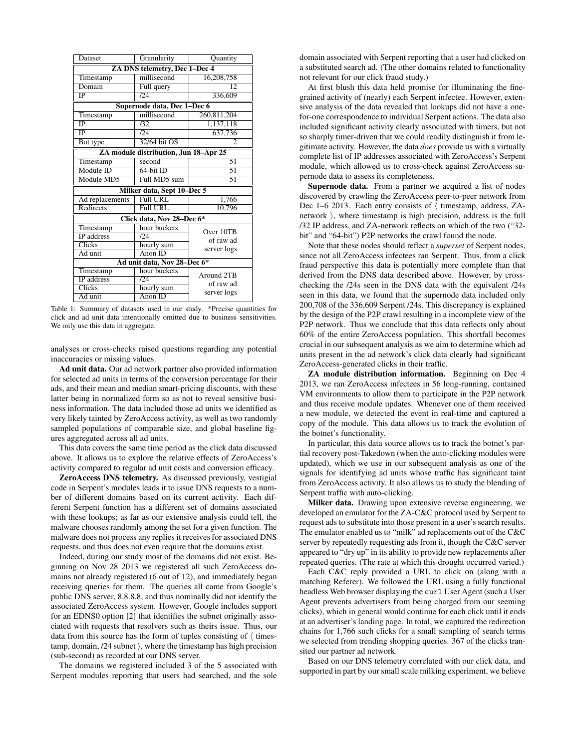| Dataset                               | Granularity           | Quantity                               |
|---------------------------------------|-----------------------|----------------------------------------|
| ZA DNS telemetry, Dec 1-Dec 4         |                       |                                        |
| Timestamp                             | millisecond           | 16,208,758                             |
| Domain                                | Full query            | 12                                     |
| IP                                    | 124                   | 336,609                                |
| Supernode data, Dec 1-Dec 6           |                       |                                        |
| Timestamp                             | millisecond           | 260,811,204                            |
| $\overline{IP}$                       | 132                   | 1,137,118                              |
| IP                                    | 124                   | 637,736                                |
| Bot type                              | 32/64 bit OS          | $\mathfrak{D}$                         |
| ZA module distribution, Jun 18-Apr 25 |                       |                                        |
| Timestamp                             | second                | 51                                     |
| Module ID                             | $64$ -bit ID          | 51                                     |
| Module MD5                            | Full MD5 sum          | 51                                     |
| Milker data, Sept 10-Dec 5            |                       |                                        |
| Ad replacements                       | Full URL              | 1,766                                  |
| Redirects                             | <b>Full URL</b>       | 10,796                                 |
| Click data, Nov 28-Dec 6*             |                       |                                        |
| Timestamp                             | hour buckets          | Over 10TB                              |
| <b>IP</b> address                     | $\overline{D4}$       | of raw ad<br>server logs               |
| <b>Clicks</b>                         | hourly sum            |                                        |
| Ad unit                               | $A$ non ID            |                                        |
| Ad unit data, Nov 28-Dec 6*           |                       |                                        |
| Timestamp                             | hour buckets          | Around 2TB<br>of raw ad<br>server logs |
| IP address                            | /24                   |                                        |
| Clicks                                | hourly sum            |                                        |
| Ad unit                               | $\overline{A}$ non ID |                                        |

Table 1: Summary of datasets used in our study. \*Precise quantities for click and ad unit data intentionally omitted due to business sensitivities. We only use this data in aggregate.

analyses or cross-checks raised questions regarding any potential inaccuracies or missing values.

Ad unit data. Our ad network partner also provided information for selected ad units in terms of the conversion percentage for their ads, and their mean and median smart-pricing discounts, with these latter being in normalized form so as not to reveal sensitive business information. The data included those ad units we identified as very likely tainted by ZeroAccess activity, as well as two randomly sampled populations of comparable size, and global baseline figures aggregated across all ad units.

This data covers the same time period as the click data discussed above. It allows us to explore the relative effects of ZeroAccess's activity compared to regular ad unit costs and conversion efficacy.

ZeroAccess DNS telemetry. As discussed previously, vestigial code in Serpent's modules leads it to issue DNS requests to a number of different domains based on its current activity. Each different Serpent function has a different set of domains associated with these lookups; as far as our extensive analysis could tell, the malware chooses randomly among the set for a given function. The malware does not process any replies it receives for associated DNS requests, and thus does not even require that the domains exist.

Indeed, during our study most of the domains did not exist. Beginning on Nov 28 2013 we registered all such ZeroAccess domains not already registered (6 out of 12), and immediately began receiving queries for them. The queries all came from Google's public DNS server, 8.8.8.8, and thus nominally did not identify the associated ZeroAccess system. However, Google includes support for an EDNS0 option [2] that identifies the subnet originally associated with requests that resolvers such as theirs issue. Thus, our data from this source has the form of tuples consisting of  $\langle$  timestamp, domain,  $/24$  subnet  $\rangle$ , where the timestamp has high precision (sub-second) as recorded at our DNS server.

The domains we registered included 3 of the 5 associated with Serpent modules reporting that users had searched, and the sole domain associated with Serpent reporting that a user had clicked on a substituted search ad. (The other domains related to functionality not relevant for our click fraud study.)

At first blush this data held promise for illuminating the finegrained activity of (nearly) each Serpent infectee. However, extensive analysis of the data revealed that lookups did not have a onefor-one correspondence to individual Serpent actions. The data also included significant activity clearly associated with timers, but not so sharply timer-driven that we could readily distinguish it from legitimate activity. However, the data *does* provide us with a virtually complete list of IP addresses associated with ZeroAccess's Serpent module, which allowed us to cross-check against ZeroAccess supernode data to assess its completeness.

Supernode data. From a partner we acquired a list of nodes discovered by crawling the ZeroAccess peer-to-peer network from Dec 1–6 2013. Each entry consists of  $\langle$  timestamp, address, ZAnetwork  $\rangle$ , where timestamp is high precision, address is the full /32 IP address, and ZA-network reflects on which of the two ("32 bit" and "64-bit") P2P networks the crawl found the node.

Note that these nodes should reflect a *superset* of Serpent nodes, since not all ZeroAccess infectees ran Serpent. Thus, from a click fraud perspective this data is potentially more complete than that derived from the DNS data described above. However, by crosschecking the /24s seen in the DNS data with the equivalent /24s seen in this data, we found that the supernode data included only 200,708 of the 336,609 Serpent /24s. This discrepancy is explained by the design of the P2P crawl resulting in a incomplete view of the P2P network. Thus we conclude that this data reflects only about 60% of the entire ZeroAccess population. This shortfall becomes crucial in our subsequent analysis as we aim to determine which ad units present in the ad network's click data clearly had significant ZeroAccess-generated clicks in their traffic.

ZA module distribution information. Beginning on Dec 4 2013, we ran ZeroAccess infectees in 56 long-running, contained VM environments to allow them to participate in the P2P network and thus receive module updates. Whenever one of them received a new module, we detected the event in real-time and captured a copy of the module. This data allows us to track the evolution of the botnet's functionality.

In particular, this data source allows us to track the botnet's partial recovery post-Takedown (when the auto-clicking modules were updated), which we use in our subsequent analysis as one of the signals for identifying ad units whose traffic has significant taint from ZeroAccess activity. It also allows us to study the blending of Serpent traffic with auto-clicking.

Milker data. Drawing upon extensive reverse engineering, we developed an emulator for the ZA-C&C protocol used by Serpent to request ads to substitute into those present in a user's search results. The emulator enabled us to "milk" ad replacements out of the C&C server by repeatedly requesting ads from it, though the C&C server appeared to "dry up" in its ability to provide new replacements after repeated queries. (The rate at which this drought occurred varied.)

Each C&C reply provided a URL to click on (along with a matching Referer). We followed the URL using a fully functional headless Web browser displaying the curl User Agent (such a User Agent prevents advertisers from being charged from our seeming clicks), which in general would continue for each click until it ends at an advertiser's landing page. In total, we captured the redirection chains for 1,766 such clicks for a small sampling of search terms we selected from trending shopping queries. 367 of the clicks transited our partner ad network.

Based on our DNS telemetry correlated with our click data, and supported in part by our small scale milking experiment, we believe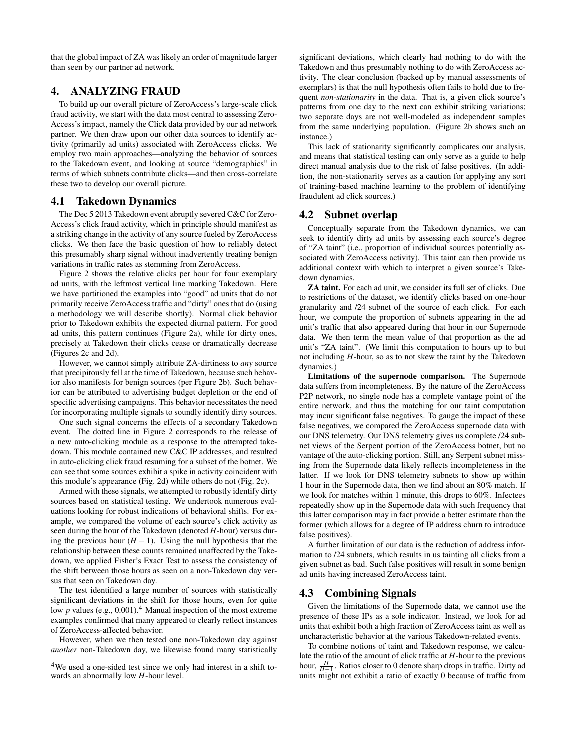that the global impact of ZA was likely an order of magnitude larger than seen by our partner ad network.

# 4. ANALYZING FRAUD

To build up our overall picture of ZeroAccess's large-scale click fraud activity, we start with the data most central to assessing Zero-Access's impact, namely the Click data provided by our ad network partner. We then draw upon our other data sources to identify activity (primarily ad units) associated with ZeroAccess clicks. We employ two main approaches—analyzing the behavior of sources to the Takedown event, and looking at source "demographics" in terms of which subnets contribute clicks—and then cross-correlate these two to develop our overall picture.

#### 4.1 Takedown Dynamics

The Dec 5 2013 Takedown event abruptly severed C&C for Zero-Access's click fraud activity, which in principle should manifest as a striking change in the activity of any source fueled by ZeroAccess clicks. We then face the basic question of how to reliably detect this presumably sharp signal without inadvertently treating benign variations in traffic rates as stemming from ZeroAccess.

Figure 2 shows the relative clicks per hour for four exemplary ad units, with the leftmost vertical line marking Takedown. Here we have partitioned the examples into "good" ad units that do not primarily receive ZeroAccess traffic and "dirty" ones that do (using a methodology we will describe shortly). Normal click behavior prior to Takedown exhibits the expected diurnal pattern. For good ad units, this pattern continues (Figure 2a), while for dirty ones, precisely at Takedown their clicks cease or dramatically decrease (Figures 2c and 2d).

However, we cannot simply attribute ZA-dirtiness to *any* source that precipitously fell at the time of Takedown, because such behavior also manifests for benign sources (per Figure 2b). Such behavior can be attributed to advertising budget depletion or the end of specific advertising campaigns. This behavior necessitates the need for incorporating multiple signals to soundly identify dirty sources.

One such signal concerns the effects of a secondary Takedown event. The dotted line in Figure 2 corresponds to the release of a new auto-clicking module as a response to the attempted takedown. This module contained new C&C IP addresses, and resulted in auto-clicking click fraud resuming for a subset of the botnet. We can see that some sources exhibit a spike in activity coincident with this module's appearance (Fig. 2d) while others do not (Fig. 2c).

Armed with these signals, we attempted to robustly identify dirty sources based on statistical testing. We undertook numerous evaluations looking for robust indications of behavioral shifts. For example, we compared the volume of each source's click activity as seen during the hour of the Takedown (denoted *H*-hour) versus during the previous hour (*H* − 1). Using the null hypothesis that the relationship between these counts remained unaffected by the Takedown, we applied Fisher's Exact Test to assess the consistency of the shift between those hours as seen on a non-Takedown day versus that seen on Takedown day.

The test identified a large number of sources with statistically significant deviations in the shift for those hours, even for quite low *p* values (e.g., 0.001).<sup>4</sup> Manual inspection of the most extreme examples confirmed that many appeared to clearly reflect instances of ZeroAccess-affected behavior.

However, when we then tested one non-Takedown day against *another* non-Takedown day, we likewise found many statistically

significant deviations, which clearly had nothing to do with the Takedown and thus presumably nothing to do with ZeroAccess activity. The clear conclusion (backed up by manual assessments of exemplars) is that the null hypothesis often fails to hold due to frequent *non-stationarity* in the data. That is, a given click source's patterns from one day to the next can exhibit striking variations; two separate days are not well-modeled as independent samples from the same underlying population. (Figure 2b shows such an instance.)

This lack of stationarity significantly complicates our analysis, and means that statistical testing can only serve as a guide to help direct manual analysis due to the risk of false positives. (In addition, the non-stationarity serves as a caution for applying any sort of training-based machine learning to the problem of identifying fraudulent ad click sources.)

#### 4.2 Subnet overlap

Conceptually separate from the Takedown dynamics, we can seek to identify dirty ad units by assessing each source's degree of "ZA taint" (i.e., proportion of individual sources potentially associated with ZeroAccess activity). This taint can then provide us additional context with which to interpret a given source's Takedown dynamics.

ZA taint. For each ad unit, we consider its full set of clicks. Due to restrictions of the dataset, we identify clicks based on one-hour granularity and /24 subnet of the source of each click. For each hour, we compute the proportion of subnets appearing in the ad unit's traffic that also appeared during that hour in our Supernode data. We then term the mean value of that proportion as the ad unit's "ZA taint". (We limit this computation to hours up to but not including *H*-hour, so as to not skew the taint by the Takedown dynamics.)

Limitations of the supernode comparison. The Supernode data suffers from incompleteness. By the nature of the ZeroAccess P2P network, no single node has a complete vantage point of the entire network, and thus the matching for our taint computation may incur significant false negatives. To gauge the impact of these false negatives, we compared the ZeroAccess supernode data with our DNS telemetry. Our DNS telemetry gives us complete /24 subnet views of the Serpent portion of the ZeroAccess botnet, but no vantage of the auto-clicking portion. Still, any Serpent subnet missing from the Supernode data likely reflects incompleteness in the latter. If we look for DNS telemetry subnets to show up within 1 hour in the Supernode data, then we find about an 80% match. If we look for matches within 1 minute, this drops to 60%. Infectees repeatedly show up in the Supernode data with such frequency that this latter comparison may in fact provide a better estimate than the former (which allows for a degree of IP address churn to introduce false positives).

A further limitation of our data is the reduction of address information to /24 subnets, which results in us tainting all clicks from a given subnet as bad. Such false positives will result in some benign ad units having increased ZeroAccess taint.

#### 4.3 Combining Signals

Given the limitations of the Supernode data, we cannot use the presence of these IPs as a sole indicator. Instead, we look for ad units that exhibit both a high fraction of ZeroAccess taint as well as uncharacteristic behavior at the various Takedown-related events.

To combine notions of taint and Takedown response, we calculate the ratio of the amount of click traffic at *H*-hour to the previous hour,  $\frac{H}{H-1}$ . Ratios closer to 0 denote sharp drops in traffic. Dirty ad units might not exhibit a ratio of exactly 0 because of traffic from

<sup>4</sup>We used a one-sided test since we only had interest in a shift towards an abnormally low *H*-hour level.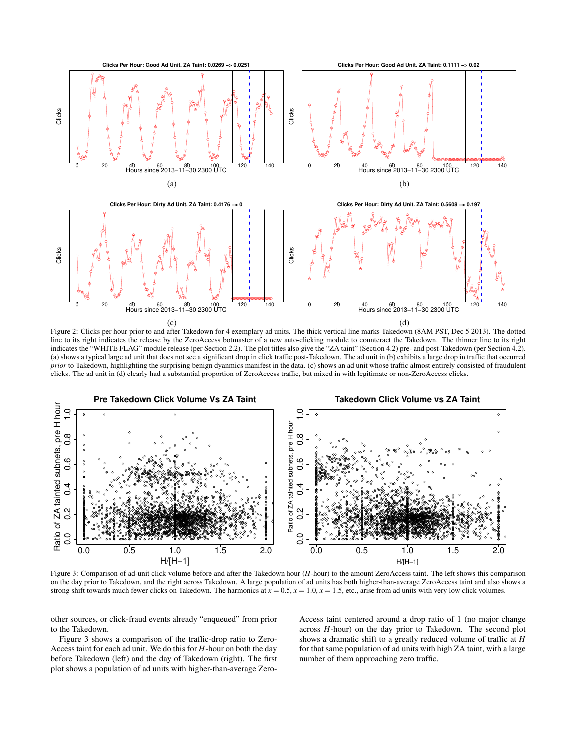

Figure 2: Clicks per hour prior to and after Takedown for 4 exemplary ad units. The thick vertical line marks Takedown (8AM PST, Dec 5 2013). The dotted line to its right indicates the release by the ZeroAccess botmaster of a new auto-clicking module to counteract the Takedown. The thinner line to its right indicates the "WHITE FLAG" module release (per Section 2.2). The plot titles also give the "ZA taint" (Section 4.2) pre- and post-Takedown (per Section 4.2). (a) shows a typical large ad unit that does not see a significant drop in click traffic post-Takedown. The ad unit in (b) exhibits a large drop in traffic that occurred prior to Takedown, highlighting the surprising benign dyanmics manifest in the data. (c) shows an ad unit whose traffic almost entirely consisted of fraudulent clicks. The ad unit in (d) clearly had a substantial proportion of ZeroAccess traffic, but mixed in with legitimate or non-ZeroAccess clicks.



Figure 3: Comparison of ad-unit click volume before and after the Takedown hour (H-hour) to the amount ZeroAccess taint. The left shows this comparison on the day prior to Takedown, and the right across Takedown. A large population of ad units has both higher-than-average ZeroAccess taint and also shows a strong shift towards much fewer clicks on Takedown. The harmonics at  $x = 0.5$ ,  $x = 1.0$ ,  $x = 1.5$ , etc., arise from ad units with very low click volumes.

other sources, or click-fraud events already "enqueued" from prior to the Takedown.

Figure 3 shows a comparison of the traffic-drop ratio to Zero-Access taint for each ad unit. We do this for  $H$ -hour on both the day before Takedown (left) and the day of Takedown (right). The first plot shows a population of ad units with higher-than-average ZeroAccess taint centered around a drop ratio of 1 (no major change across  $H$ -hour) on the day prior to Takedown. The second plot shows a dramatic shift to a greatly reduced volume of traffic at  $H$ for that same population of ad units with high ZA taint, with a large number of them approaching zero traffic.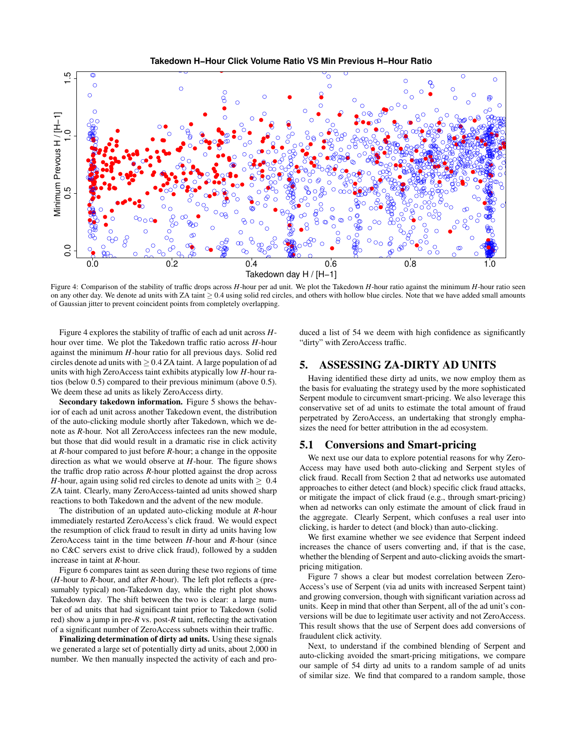

Figure 4: Comparison of the stability of traffic drops across *H*-hour per ad unit. We plot the Takedown *H*-hour ratio against the minimum *H*-hour ratio seen on any other day. We denote ad units with ZA taint  $\geq 0.4$  using solid red circles, and others with hollow blue circles. Note that we have added small amounts of Gaussian jitter to prevent coincident points from completely overlapping.

Figure 4 explores the stability of traffic of each ad unit across *H*hour over time. We plot the Takedown traffic ratio across *H*-hour against the minimum *H*-hour ratio for all previous days. Solid red circles denote ad units with  $\geq 0.4$  ZA taint. A large population of ad units with high ZeroAccess taint exhibits atypically low *H*-hour ratios (below 0.5) compared to their previous minimum (above 0.5). We deem these ad units as likely ZeroAccess dirty.

Secondary takedown information. Figure 5 shows the behavior of each ad unit across another Takedown event, the distribution of the auto-clicking module shortly after Takedown, which we denote as *R*-hour. Not all ZeroAccess infectees ran the new module, but those that did would result in a dramatic rise in click activity at *R*-hour compared to just before *R*-hour; a change in the opposite direction as what we would observe at *H*-hour. The figure shows the traffic drop ratio across *R*-hour plotted against the drop across *H*-hour, again using solid red circles to denote ad units with  $> 0.4$ ZA taint. Clearly, many ZeroAccess-tainted ad units showed sharp reactions to both Takedown and the advent of the new module.

The distribution of an updated auto-clicking module at *R*-hour immediately restarted ZeroAccess's click fraud. We would expect the resumption of click fraud to result in dirty ad units having low ZeroAccess taint in the time between *H*-hour and *R*-hour (since no C&C servers exist to drive click fraud), followed by a sudden increase in taint at *R*-hour.

Figure 6 compares taint as seen during these two regions of time (*H*-hour to *R*-hour, and after *R*-hour). The left plot reflects a (presumably typical) non-Takedown day, while the right plot shows Takedown day. The shift between the two is clear: a large number of ad units that had significant taint prior to Takedown (solid red) show a jump in pre-*R* vs. post-*R* taint, reflecting the activation of a significant number of ZeroAccess subnets within their traffic.

Finalizing determination of dirty ad units. Using these signals we generated a large set of potentially dirty ad units, about 2,000 in number. We then manually inspected the activity of each and produced a list of 54 we deem with high confidence as significantly "dirty" with ZeroAccess traffic.

# 5. ASSESSING ZA-DIRTY AD UNITS

Having identified these dirty ad units, we now employ them as the basis for evaluating the strategy used by the more sophisticated Serpent module to circumvent smart-pricing. We also leverage this conservative set of ad units to estimate the total amount of fraud perpetrated by ZeroAccess, an undertaking that strongly emphasizes the need for better attribution in the ad ecosystem.

# 5.1 Conversions and Smart-pricing

We next use our data to explore potential reasons for why Zero-Access may have used both auto-clicking and Serpent styles of click fraud. Recall from Section 2 that ad networks use automated approaches to either detect (and block) specific click fraud attacks, or mitigate the impact of click fraud (e.g., through smart-pricing) when ad networks can only estimate the amount of click fraud in the aggregate. Clearly Serpent, which confuses a real user into clicking, is harder to detect (and block) than auto-clicking.

We first examine whether we see evidence that Serpent indeed increases the chance of users converting and, if that is the case, whether the blending of Serpent and auto-clicking avoids the smartpricing mitigation.

Figure 7 shows a clear but modest correlation between Zero-Access's use of Serpent (via ad units with increased Serpent taint) and growing conversion, though with significant variation across ad units. Keep in mind that other than Serpent, all of the ad unit's conversions will be due to legitimate user activity and not ZeroAccess. This result shows that the use of Serpent does add conversions of fraudulent click activity.

Next, to understand if the combined blending of Serpent and auto-clicking avoided the smart-pricing mitigations, we compare our sample of 54 dirty ad units to a random sample of ad units of similar size. We find that compared to a random sample, those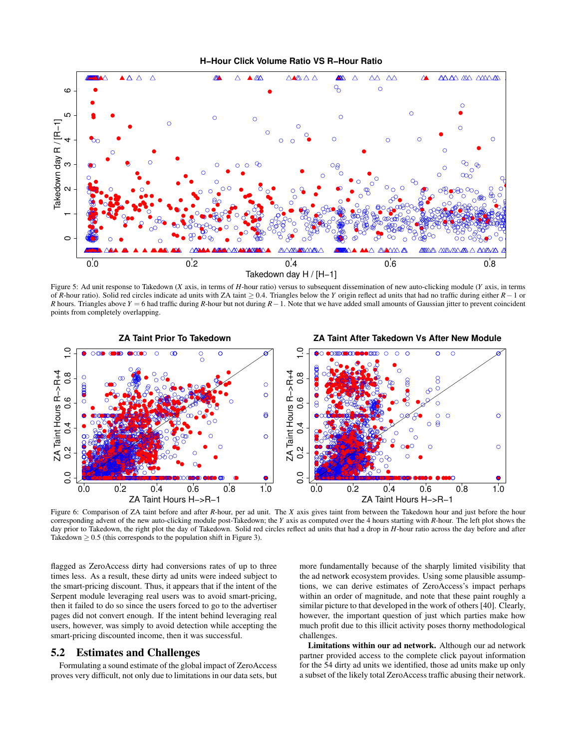H-Hour Click Volume Ratio VS R-Hour Ratio



Figure 5: Ad unit response to Takedown (X axis, in terms of H-hour ratio) versus to subsequent dissemination of new auto-clicking module (Y axis, in terms of R-hour ratio). Solid red circles indicate ad units with ZA taint  $\geq$  0.4. Triangles below the Y origin reflect ad units that had no traffic during either  $R-1$  or R hours. Triangles above  $Y = 6$  had traffic during R-hour but not during  $R - 1$ . Note that we have added small amounts of Gaussian jitter to prevent coincident points from completely overlapping.



Figure 6: Comparison of ZA taint before and after R-hour, per ad unit. The X axis gives taint from between the Takedown hour and just before the hour corresponding advent of the new auto-clicking module post-Takedown; the Y axis as computed over the 4 hours starting with R-hour. The left plot shows the day prior to Takedown, the right plot the day of Takedown. Solid red circles reflect ad units that had a drop in H-hour ratio across the day before and after Takedown  $\geq$  0.5 (this corresponds to the population shift in Figure 3).

flagged as ZeroAccess dirty had conversions rates of up to three times less. As a result, these dirty ad units were indeed subject to the smart-pricing discount. Thus, it appears that if the intent of the Serpent module leveraging real users was to avoid smart-pricing, then it failed to do so since the users forced to go to the advertiser pages did not convert enough. If the intent behind leveraging real users, however, was simply to avoid detection while accepting the smart-pricing discounted income, then it was successful.

#### $5.2$ **Estimates and Challenges**

Formulating a sound estimate of the global impact of ZeroAccess proves very difficult, not only due to limitations in our data sets, but more fundamentally because of the sharply limited visibility that the ad network ecosystem provides. Using some plausible assumptions, we can derive estimates of ZeroAccess's impact perhaps within an order of magnitude, and note that these paint roughly a similar picture to that developed in the work of others [40]. Clearly, however, the important question of just which parties make how much profit due to this illicit activity poses thorny methodological challenges.

Limitations within our ad network. Although our ad network partner provided access to the complete click payout information for the 54 dirty ad units we identified, those ad units make up only a subset of the likely total ZeroAccess traffic abusing their network.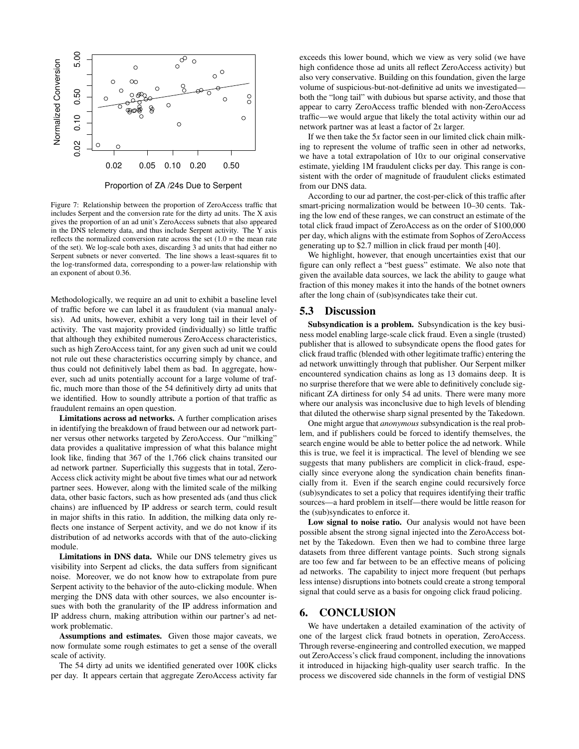

Figure 7: Relationship between the proportion of ZeroAccess traffic that includes Serpent and the conversion rate for the dirty ad units. The X axis gives the proportion of an ad unit's ZeroAccess subnets that also appeared in the DNS telemetry data, and thus include Serpent activity. The Y axis reflects the normalized conversion rate across the set  $(1.0)$  = the mean rate of the set). We log-scale both axes, discarding 3 ad units that had either no Serpent subnets or never converted. The line shows a least-squares fit to the log-transformed data, corresponding to a power-law relationship with an exponent of about 0.36.

Methodologically, we require an ad unit to exhibit a baseline level of traffic before we can label it as fraudulent (via manual analysis). Ad units, however, exhibit a very long tail in their level of activity. The vast majority provided (individually) so little traffic that although they exhibited numerous ZeroAccess characteristics, such as high ZeroAccess taint, for any given such ad unit we could not rule out these characteristics occurring simply by chance, and thus could not definitively label them as bad. In aggregate, however, such ad units potentially account for a large volume of traffic, much more than those of the 54 definitively dirty ad units that we identified. How to soundly attribute a portion of that traffic as fraudulent remains an open question.

Limitations across ad networks. A further complication arises in identifying the breakdown of fraud between our ad network partner versus other networks targeted by ZeroAccess. Our "milking" data provides a qualitative impression of what this balance might look like, finding that 367 of the 1,766 click chains transited our ad network partner. Superficially this suggests that in total, Zero-Access click activity might be about five times what our ad network partner sees. However, along with the limited scale of the milking data, other basic factors, such as how presented ads (and thus click chains) are influenced by IP address or search term, could result in major shifts in this ratio. In addition, the milking data only reflects one instance of Serpent activity, and we do not know if its distribution of ad networks accords with that of the auto-clicking module.

Limitations in DNS data. While our DNS telemetry gives us visibility into Serpent ad clicks, the data suffers from significant noise. Moreover, we do not know how to extrapolate from pure Serpent activity to the behavior of the auto-clicking module. When merging the DNS data with other sources, we also encounter issues with both the granularity of the IP address information and IP address churn, making attribution within our partner's ad network problematic.

Assumptions and estimates. Given those major caveats, we now formulate some rough estimates to get a sense of the overall scale of activity.

The 54 dirty ad units we identified generated over 100K clicks per day. It appears certain that aggregate ZeroAccess activity far exceeds this lower bound, which we view as very solid (we have high confidence those ad units all reflect ZeroAccess activity) but also very conservative. Building on this foundation, given the large volume of suspicious-but-not-definitive ad units we investigated both the "long tail" with dubious but sparse activity, and those that appear to carry ZeroAccess traffic blended with non-ZeroAccess traffic—we would argue that likely the total activity within our ad network partner was at least a factor of 2*x* larger.

If we then take the 5*x* factor seen in our limited click chain milking to represent the volume of traffic seen in other ad networks, we have a total extrapolation of 10*x* to our original conservative estimate, yielding 1M fraudulent clicks per day. This range is consistent with the order of magnitude of fraudulent clicks estimated from our DNS data.

According to our ad partner, the cost-per-click of this traffic after smart-pricing normalization would be between 10–30 cents. Taking the low end of these ranges, we can construct an estimate of the total click fraud impact of ZeroAccess as on the order of \$100,000 per day, which aligns with the estimate from Sophos of ZeroAccess generating up to \$2.7 million in click fraud per month [40].

We highlight, however, that enough uncertainties exist that our figure can only reflect a "best guess" estimate. We also note that given the available data sources, we lack the ability to gauge what fraction of this money makes it into the hands of the botnet owners after the long chain of (sub)syndicates take their cut.

#### 5.3 Discussion

Subsyndication is a problem. Subsyndication is the key business model enabling large-scale click fraud. Even a single (trusted) publisher that is allowed to subsyndicate opens the flood gates for click fraud traffic (blended with other legitimate traffic) entering the ad network unwittingly through that publisher. Our Serpent milker encountered syndication chains as long as 13 domains deep. It is no surprise therefore that we were able to definitively conclude significant ZA dirtiness for only 54 ad units. There were many more where our analysis was inconclusive due to high levels of blending that diluted the otherwise sharp signal presented by the Takedown.

One might argue that *anonymous* subsyndication is the real problem, and if publishers could be forced to identify themselves, the search engine would be able to better police the ad network. While this is true, we feel it is impractical. The level of blending we see suggests that many publishers are complicit in click-fraud, especially since everyone along the syndication chain benefits financially from it. Even if the search engine could recursively force (sub)syndicates to set a policy that requires identifying their traffic sources—a hard problem in itself—there would be little reason for the (sub)syndicates to enforce it.

Low signal to noise ratio. Our analysis would not have been possible absent the strong signal injected into the ZeroAccess botnet by the Takedown. Even then we had to combine three large datasets from three different vantage points. Such strong signals are too few and far between to be an effective means of policing ad networks. The capability to inject more frequent (but perhaps less intense) disruptions into botnets could create a strong temporal signal that could serve as a basis for ongoing click fraud policing.

### 6. CONCLUSION

We have undertaken a detailed examination of the activity of one of the largest click fraud botnets in operation, ZeroAccess. Through reverse-engineering and controlled execution, we mapped out ZeroAccess's click fraud component, including the innovations it introduced in hijacking high-quality user search traffic. In the process we discovered side channels in the form of vestigial DNS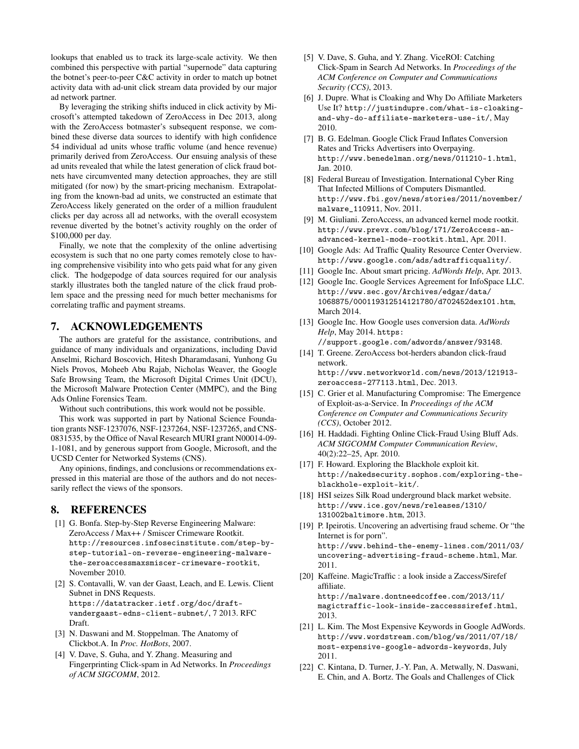lookups that enabled us to track its large-scale activity. We then combined this perspective with partial "supernode" data capturing the botnet's peer-to-peer C&C activity in order to match up botnet activity data with ad-unit click stream data provided by our major ad network partner.

By leveraging the striking shifts induced in click activity by Microsoft's attempted takedown of ZeroAccess in Dec 2013, along with the ZeroAccess botmaster's subsequent response, we combined these diverse data sources to identify with high confidence 54 individual ad units whose traffic volume (and hence revenue) primarily derived from ZeroAccess. Our ensuing analysis of these ad units revealed that while the latest generation of click fraud botnets have circumvented many detection approaches, they are still mitigated (for now) by the smart-pricing mechanism. Extrapolating from the known-bad ad units, we constructed an estimate that ZeroAccess likely generated on the order of a million fraudulent clicks per day across all ad networks, with the overall ecosystem revenue diverted by the botnet's activity roughly on the order of \$100,000 per day.

Finally, we note that the complexity of the online advertising ecosystem is such that no one party comes remotely close to having comprehensive visibility into who gets paid what for any given click. The hodgepodge of data sources required for our analysis starkly illustrates both the tangled nature of the click fraud problem space and the pressing need for much better mechanisms for correlating traffic and payment streams.

# 7. ACKNOWLEDGEMENTS

The authors are grateful for the assistance, contributions, and guidance of many individuals and organizations, including David Anselmi, Richard Boscovich, Hitesh Dharamdasani, Yunhong Gu Niels Provos, Moheeb Abu Rajab, Nicholas Weaver, the Google Safe Browsing Team, the Microsoft Digital Crimes Unit (DCU), the Microsoft Malware Protection Center (MMPC), and the Bing Ads Online Forensics Team.

Without such contributions, this work would not be possible.

This work was supported in part by National Science Foundation grants NSF-1237076, NSF-1237264, NSF-1237265, and CNS-0831535, by the Office of Naval Research MURI grant N00014-09- 1-1081, and by generous support from Google, Microsoft, and the UCSD Center for Networked Systems (CNS).

Any opinions, findings, and conclusions or recommendations expressed in this material are those of the authors and do not necessarily reflect the views of the sponsors.

# 8. REFERENCES

- [1] G. Bonfa. Step-by-Step Reverse Engineering Malware: ZeroAccess / Max++ / Smiscer Crimeware Rootkit. http://resources.infosecinstitute.com/step-bystep-tutorial-on-reverse-engineering-malwarethe-zeroaccessmaxsmiscer-crimeware-rootkit, November 2010.
- [2] S. Contavalli, W. van der Gaast, Leach, and E. Lewis. Client Subnet in DNS Requests. https://datatracker.ietf.org/doc/draftvandergaast-edns-client-subnet/, 7 2013. RFC Draft.
- [3] N. Daswani and M. Stoppelman. The Anatomy of Clickbot.A. In *Proc. HotBots*, 2007.
- [4] V. Dave, S. Guha, and Y. Zhang. Measuring and Fingerprinting Click-spam in Ad Networks. In *Proceedings of ACM SIGCOMM*, 2012.
- [5] V. Dave, S. Guha, and Y. Zhang. ViceROI: Catching Click-Spam in Search Ad Networks. In *Proceedings of the ACM Conference on Computer and Communications Security (CCS)*, 2013.
- [6] J. Dupre. What is Cloaking and Why Do Affiliate Marketers Use It? http://justindupre.com/what-is-cloakingand-why-do-affiliate-marketers-use-it/, May 2010.
- [7] B. G. Edelman. Google Click Fraud Inflates Conversion Rates and Tricks Advertisers into Overpaying. http://www.benedelman.org/news/011210-1.html, Jan. 2010.
- [8] Federal Bureau of Investigation. International Cyber Ring That Infected Millions of Computers Dismantled. http://www.fbi.gov/news/stories/2011/november/ malware\_110911, Nov. 2011.
- [9] M. Giuliani. ZeroAccess, an advanced kernel mode rootkit. http://www.prevx.com/blog/171/ZeroAccess-anadvanced-kernel-mode-rootkit.html, Apr. 2011.
- [10] Google Ads: Ad Traffic Quality Resource Center Overview. http://www.google.com/ads/adtrafficquality/.
- [11] Google Inc. About smart pricing. *AdWords Help*, Apr. 2013.
- [12] Google Inc. Google Services Agreement for InfoSpace LLC. http://www.sec.gov/Archives/edgar/data/ 1068875/000119312514121780/d702452dex101.htm, March 2014.
- [13] Google Inc. How Google uses conversion data. *AdWords Help*, May 2014. https: //support.google.com/adwords/answer/93148.
- [14] T. Greene. ZeroAccess bot-herders abandon click-fraud network.

http://www.networkworld.com/news/2013/121913 zeroaccess-277113.html, Dec. 2013.

- [15] C. Grier et al. Manufacturing Compromise: The Emergence of Exploit-as-a-Service. In *Proceedings of the ACM Conference on Computer and Communications Security (CCS)*, October 2012.
- [16] H. Haddadi. Fighting Online Click-Fraud Using Bluff Ads. *ACM SIGCOMM Computer Communication Review*, 40(2):22–25, Apr. 2010.
- [17] F. Howard. Exploring the Blackhole exploit kit. http://nakedsecurity.sophos.com/exploring-theblackhole-exploit-kit/.
- [18] HSI seizes Silk Road underground black market website. http://www.ice.gov/news/releases/1310/ 131002baltimore.htm, 2013.
- [19] P. Ipeirotis. Uncovering an advertising fraud scheme. Or "the Internet is for porn". http://www.behind-the-enemy-lines.com/2011/03/ uncovering-advertising-fraud-scheme.html, Mar. 2011.
- [20] Kaffeine. MagicTraffic : a look inside a Zaccess/Sirefef affiliate. http://malware.dontneedcoffee.com/2013/11/ magictraffic-look-inside-zaccesssirefef.html, 2013.
- [21] L. Kim. The Most Expensive Keywords in Google AdWords. http://www.wordstream.com/blog/ws/2011/07/18/ most-expensive-google-adwords-keywords, July 2011.
- [22] C. Kintana, D. Turner, J.-Y. Pan, A. Metwally, N. Daswani, E. Chin, and A. Bortz. The Goals and Challenges of Click